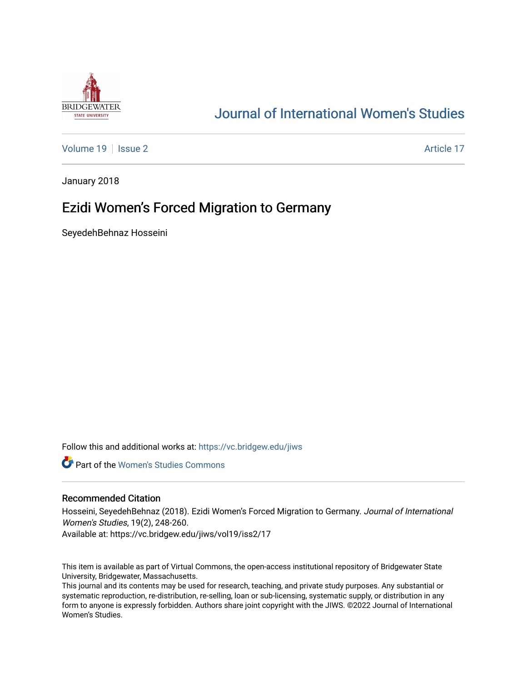

# [Journal of International Women's Studies](https://vc.bridgew.edu/jiws)

[Volume 19](https://vc.bridgew.edu/jiws/vol19) | [Issue 2](https://vc.bridgew.edu/jiws/vol19/iss2) Article 17

January 2018

## Ezidi Women's Forced Migration to Germany

SeyedehBehnaz Hosseini

Follow this and additional works at: [https://vc.bridgew.edu/jiws](https://vc.bridgew.edu/jiws?utm_source=vc.bridgew.edu%2Fjiws%2Fvol19%2Fiss2%2F17&utm_medium=PDF&utm_campaign=PDFCoverPages)

**C** Part of the Women's Studies Commons

#### Recommended Citation

Hosseini, SeyedehBehnaz (2018). Ezidi Women's Forced Migration to Germany. Journal of International Women's Studies, 19(2), 248-260.

Available at: https://vc.bridgew.edu/jiws/vol19/iss2/17

This item is available as part of Virtual Commons, the open-access institutional repository of Bridgewater State University, Bridgewater, Massachusetts.

This journal and its contents may be used for research, teaching, and private study purposes. Any substantial or systematic reproduction, re-distribution, re-selling, loan or sub-licensing, systematic supply, or distribution in any form to anyone is expressly forbidden. Authors share joint copyright with the JIWS. ©2022 Journal of International Women's Studies.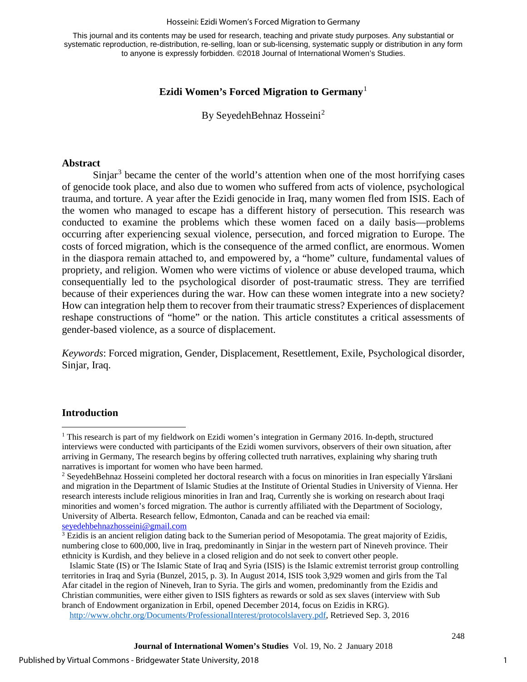#### Hosseini: Ezidi Women's Forced Migration to Germany

This journal and its contents may be used for research, teaching and private study purposes. Any substantial or systematic reproduction, re-distribution, re-selling, loan or sub-licensing, systematic supply or distribution in any form to anyone is expressly forbidden. ©2018 Journal of International Women's Studies.

## **Ezidi Women's Forced Migration to Germany**[1](#page-1-0)

By SeyedehBehnaz Hosseini[2](#page-1-1)

#### **Abstract**

 $Sinjar<sup>3</sup>$  $Sinjar<sup>3</sup>$  $Sinjar<sup>3</sup>$  became the center of the world's attention when one of the most horrifying cases of genocide took place, and also due to women who suffered from acts of violence, psychological trauma, and torture. A year after the Ezidi genocide in Iraq, many women fled from ISIS. Each of the women who managed to escape has a different history of persecution. This research was conducted to examine the problems which these women faced on a daily basis—problems occurring after experiencing sexual violence, persecution, and forced migration to Europe. The costs of forced migration, which is the consequence of the armed conflict, are enormous. Women in the diaspora remain attached to, and empowered by, a "home" culture, fundamental values of propriety, and religion. Women who were victims of violence or abuse developed trauma, which consequentially led to the psychological disorder of post-traumatic stress. They are terrified because of their experiences during the war. How can these women integrate into a new society? How can integration help them to recover from their traumatic stress? Experiences of displacement reshape constructions of "home" or the nation. This article constitutes a critical assessments of gender-based violence, as a source of displacement.

*Keywords*: Forced migration, Gender, Displacement, Resettlement, Exile, Psychological disorder, Sinjar, Iraq.

## **Introduction**

l

<span id="page-1-0"></span><sup>&</sup>lt;sup>1</sup> This research is part of my fieldwork on Ezidi women's integration in Germany 2016. In-depth, structured interviews were conducted with participants of the Ezidi women survivors, observers of their own situation, after arriving in Germany, The research begins by offering collected truth narratives, explaining why sharing truth narratives is important for women who have been harmed.

<span id="page-1-1"></span><sup>2</sup> SeyedehBehnaz Hosseini completed her doctoral research with a focus on minorities in Iran especially Yārsāani and migration in the Department of Islamic Studies at the Institute of Oriental Studies in University of Vienna. Her research interests include religious minorities in Iran and Iraq, Currently she is working on research about Iraqi minorities and women's forced migration. The author is currently affiliated with the Department of Sociology, University of Alberta. Research fellow, Edmonton, Canada and can be reached via email: [seyedehbehnazhosseini@gmail.com](mailto:seyedehbehnazhosseini@gmail.com)

<span id="page-1-2"></span><sup>&</sup>lt;sup>3</sup> Ezidis is an ancient religion dating back to the Sumerian period of Mesopotamia. The great majority of Ezidis, numbering close to 600,000, live in Iraq, predominantly in Sinjar in the western part of Nineveh province. Their ethnicity is Kurdish, and they believe in a closed religion and do not seek to convert other people.

Islamic State (IS) or The Islamic State of Iraq and Syria (ISIS) is the Islamic extremist terrorist group controlling territories in Iraq and Syria (Bunzel, 2015, p. 3). In August 2014, ISIS took 3,929 women and girls from the Tal Afar citadel in the region of Nineveh, Iran to Syria. The girls and women, predominantly from the Ezidis and Christian communities, were either given to ISIS fighters as rewards or sold as sex slaves (interview with Sub branch of Endowment organization in Erbil, opened December 2014, focus on Ezidis in KRG).

[http://www.ohchr.org/Documents/ProfessionalInterest/protocolslavery.pdf,](http://www.ohchr.org/Documents/ProfessionalInterest/protocolslavery.pdf) Retrieved Sep. 3, 2016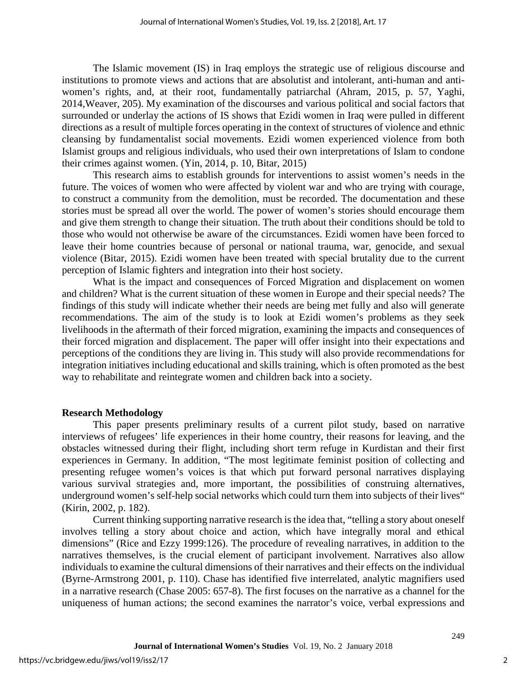The Islamic movement (IS) in Iraq employs the strategic use of religious discourse and institutions to promote views and actions that are absolutist and intolerant, anti-human and antiwomen's rights, and, at their root, fundamentally patriarchal (Ahram, 2015, p. 57, Yaghi, 2014,Weaver, 205). My examination of the discourses and various political and social factors that surrounded or underlay the actions of IS shows that Ezidi women in Iraq were pulled in different directions as a result of multiple forces operating in the context of structures of violence and ethnic cleansing by fundamentalist social movements. Ezidi women experienced violence from both Islamist groups and religious individuals, who used their own interpretations of Islam to condone their crimes against women. (Yin, 2014, p. 10, Bitar, 2015)

This research aims to establish grounds for interventions to assist women's needs in the future. The voices of women who were affected by violent war and who are trying with courage, to construct a community from the demolition, must be recorded. The documentation and these stories must be spread all over the world. The power of women's stories should encourage them and give them strength to change their situation. The truth about their conditions should be told to those who would not otherwise be aware of the circumstances. Ezidi women have been forced to leave their home countries because of personal or national trauma, war, genocide, and sexual violence (Bitar, 2015). Ezidi women have been treated with special brutality due to the current perception of Islamic fighters and integration into their host society.

What is the impact and consequences of Forced Migration and displacement on women and children? What is the current situation of these women in Europe and their special needs? The findings of this study will indicate whether their needs are being met fully and also will generate recommendations. The aim of the study is to look at Ezidi women's problems as they seek livelihoods in the aftermath of their forced migration, examining the impacts and consequences of their forced migration and displacement. The paper will offer insight into their expectations and perceptions of the conditions they are living in. This study will also provide recommendations for integration initiatives including educational and skills training, which is often promoted as the best way to rehabilitate and reintegrate women and children back into a society.

#### **Research Methodology**

This paper presents preliminary results of a current pilot study, based on narrative interviews of refugees' life experiences in their home country, their reasons for leaving, and the obstacles witnessed during their flight, including short term refuge in Kurdistan and their first experiences in Germany. In addition, "The most legitimate feminist position of collecting and presenting refugee women's voices is that which put forward personal narratives displaying various survival strategies and, more important, the possibilities of construing alternatives, underground women's self-help social networks which could turn them into subjects of their lives" (Kirin, 2002, p. 182).

Current thinking supporting narrative research is the idea that, "telling a story about oneself involves telling a story about choice and action, which have integrally moral and ethical dimensions" (Rice and Ezzy 1999:126). The procedure of revealing narratives, in addition to the narratives themselves, is the crucial element of participant involvement. Narratives also allow individuals to examine the cultural dimensions of their narratives and their effects on the individual (Byrne-Armstrong 2001, p. 110). Chase has identified five interrelated, analytic magnifiers used in a narrative research (Chase 2005: 657-8). The first focuses on the narrative as a channel for the uniqueness of human actions; the second examines the narrator's voice, verbal expressions and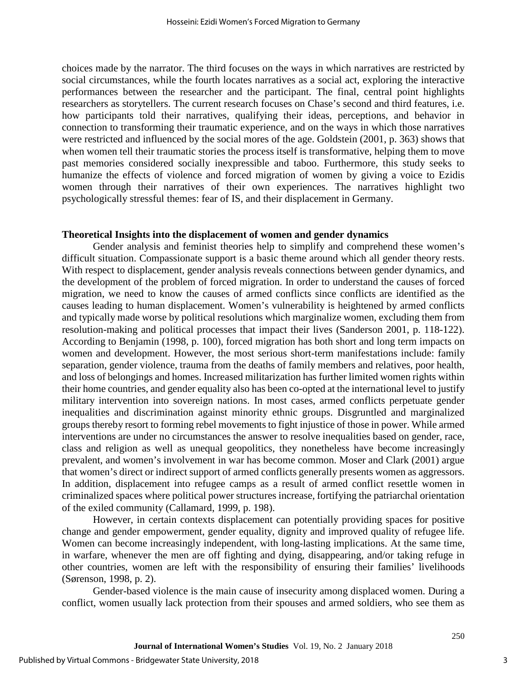choices made by the narrator. The third focuses on the ways in which narratives are restricted by social circumstances, while the fourth locates narratives as a social act, exploring the interactive performances between the researcher and the participant. The final, central point highlights researchers as storytellers. The current research focuses on Chase's second and third features, i.e. how participants told their narratives, qualifying their ideas, perceptions, and behavior in connection to transforming their traumatic experience, and on the ways in which those narratives were restricted and influenced by the social mores of the age. Goldstein (2001, p. 363) shows that when women tell their traumatic stories the process itself is transformative, helping them to move past memories considered socially inexpressible and taboo. Furthermore, this study seeks to humanize the effects of violence and forced migration of women by giving a voice to Ezidis women through their narratives of their own experiences. The narratives highlight two psychologically stressful themes: fear of IS, and their displacement in Germany.

### **Theoretical Insights into the displacement of women and gender dynamics**

Gender analysis and feminist theories help to simplify and comprehend these women's difficult situation. Compassionate support is a basic theme around which all gender theory rests. With respect to displacement, gender analysis reveals connections between gender dynamics, and the development of the problem of forced migration. In order to understand the causes of forced migration, we need to know the causes of armed conflicts since conflicts are identified as the causes leading to human displacement. Women's vulnerability is heightened by armed conflicts and typically made worse by political resolutions which marginalize women, excluding them from resolution-making and political processes that impact their lives (Sanderson 2001, p. 118-122). According to Benjamin (1998, p. 100), forced migration has both short and long term impacts on women and development. However, the most serious short-term manifestations include: family separation, gender violence, trauma from the deaths of family members and relatives, poor health, and loss of belongings and homes. Increased militarization has further limited women rights within their home countries, and gender equality also has been co-opted at the international level to justify military intervention into sovereign nations. In most cases, armed conflicts perpetuate gender inequalities and discrimination against minority ethnic groups. Disgruntled and marginalized groups thereby resort to forming rebel movements to fight injustice of those in power. While armed interventions are under no circumstances the answer to resolve inequalities based on gender, race, class and religion as well as unequal geopolitics, they nonetheless have become increasingly prevalent, and women's involvement in war has become common. Moser and Clark (2001) argue that women's direct or indirect support of armed conflicts generally presents women as aggressors. In addition, displacement into refugee camps as a result of armed conflict resettle women in criminalized spaces where political power structures increase, fortifying the patriarchal orientation of the exiled community (Callamard, 1999, p. 198).

However, in certain contexts displacement can potentially providing spaces for positive change and gender empowerment, gender equality, dignity and improved quality of refugee life. Women can become increasingly independent, with long-lasting implications. At the same time, in warfare, whenever the men are off fighting and dying, disappearing, and/or taking refuge in other countries, women are left with the responsibility of ensuring their families' livelihoods (Sørenson, 1998, p. 2).

Gender-based violence is the main cause of insecurity among displaced women. During a conflict, women usually lack protection from their spouses and armed soldiers, who see them as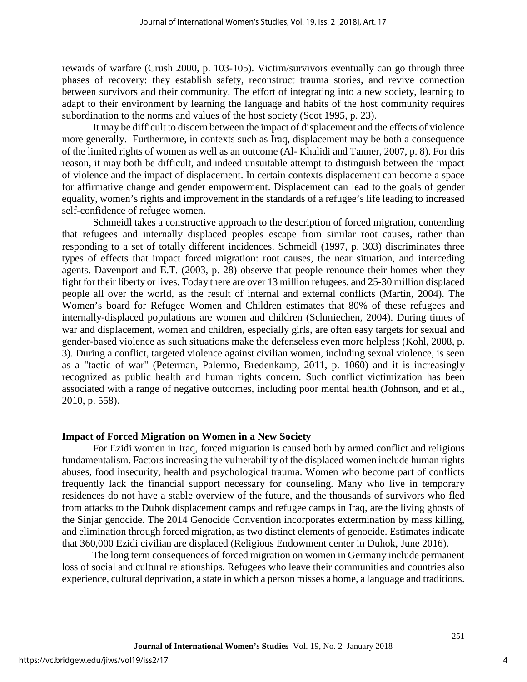rewards of warfare (Crush 2000, p. 103-105). Victim/survivors eventually can go through three phases of recovery: they establish safety, reconstruct trauma stories, and revive connection between survivors and their community. The effort of integrating into a new society, learning to adapt to their environment by learning the language and habits of the host community requires subordination to the norms and values of the host society (Scot 1995, p. 23).

It may be difficult to discern between the impact of displacement and the effects of violence more generally. Furthermore, in contexts such as Iraq, displacement may be both a consequence of the limited rights of women as well as an outcome (Al- Khalidi and Tanner, 2007, p. 8). For this reason, it may both be difficult, and indeed unsuitable attempt to distinguish between the impact of violence and the impact of displacement. In certain contexts displacement can become a space for affirmative change and gender empowerment. Displacement can lead to the goals of gender equality, women's rights and improvement in the standards of a refugee's life leading to increased self-confidence of refugee women.

Schmeidl takes a constructive approach to the description of forced migration, contending that refugees and internally displaced peoples escape from similar root causes, rather than responding to a set of totally different incidences. Schmeidl (1997, p. 303) discriminates three types of effects that impact forced migration: root causes, the near situation, and interceding agents. Davenport and E.T. (2003, p. 28) observe that people renounce their homes when they fight for their liberty or lives. Today there are over 13 million refugees, and 25-30 million displaced people all over the world, as the result of internal and external conflicts (Martin, 2004). The Women's board for Refugee Women and Children estimates that 80% of these refugees and internally-displaced populations are women and children (Schmiechen, 2004). During times of war and displacement, women and children, especially girls, are often easy targets for sexual and gender-based violence as such situations make the defenseless even more helpless (Kohl, 2008, p. 3). During a conflict, targeted violence against civilian women, including sexual violence, is seen as a "tactic of war" (Peterman, Palermo, Bredenkamp, 2011, p. 1060) and it is increasingly recognized as public health and human rights concern. Such conflict victimization has been associated with a range of negative outcomes, including poor mental health (Johnson, and et al., 2010, p. 558).

## **Impact of Forced Migration on Women in a New Society**

For Ezidi women in Iraq, forced migration is caused both by armed conflict and religious fundamentalism. Factors increasing the vulnerability of the displaced women include human rights abuses, food insecurity, health and psychological trauma. Women who become part of conflicts frequently lack the financial support necessary for counseling. Many who live in temporary residences do not have a stable overview of the future, and the thousands of survivors who fled from attacks to the Duhok displacement camps and refugee camps in Iraq, are the living ghosts of the Sinjar genocide. The 2014 Genocide Convention incorporates extermination by mass killing, and elimination through forced migration, as two distinct elements of genocide. Estimates indicate that 360,000 Ezidi civilian are displaced (Religious Endowment center in Duhok, June 2016).

The long term consequences of forced migration on women in Germany include permanent loss of social and cultural relationships. Refugees who leave their communities and countries also experience, cultural deprivation, a state in which a person misses a home, a language and traditions.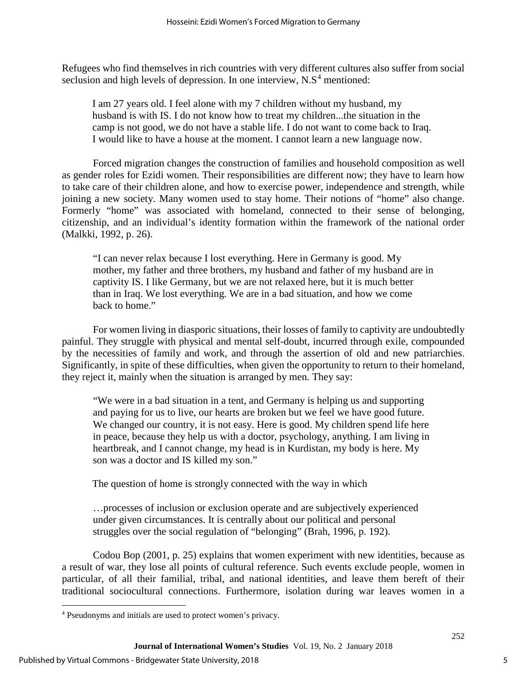Refugees who find themselves in rich countries with very different cultures also suffer from social seclusion and high levels of depression. In one interview,  $N.S<sup>4</sup>$  $N.S<sup>4</sup>$  $N.S<sup>4</sup>$  mentioned:

I am 27 years old. I feel alone with my 7 children without my husband, my husband is with IS. I do not know how to treat my children...the situation in the camp is not good, we do not have a stable life. I do not want to come back to Iraq. I would like to have a house at the moment. I cannot learn a new language now.

Forced migration changes the construction of families and household composition as well as gender roles for Ezidi women. Their responsibilities are different now; they have to learn how to take care of their children alone, and how to exercise power, independence and strength, while joining a new society. Many women used to stay home. Their notions of "home" also change. Formerly "home" was associated with homeland, connected to their sense of belonging, citizenship, and an individual's identity formation within the framework of the national order (Malkki, 1992, p. 26).

"I can never relax because I lost everything. Here in Germany is good. My mother, my father and three brothers, my husband and father of my husband are in captivity IS. I like Germany, but we are not relaxed here, but it is much better than in Iraq. We lost everything. We are in a bad situation, and how we come back to home."

For women living in diasporic situations, their losses of family to captivity are undoubtedly painful. They struggle with physical and mental self-doubt, incurred through exile, compounded by the necessities of family and work, and through the assertion of old and new patriarchies. Significantly, in spite of these difficulties, when given the opportunity to return to their homeland, they reject it, mainly when the situation is arranged by men. They say:

"We were in a bad situation in a tent, and Germany is helping us and supporting and paying for us to live, our hearts are broken but we feel we have good future. We changed our country, it is not easy. Here is good. My children spend life here in peace, because they help us with a doctor, psychology, anything. I am living in heartbreak, and I cannot change, my head is in Kurdistan, my body is here. My son was a doctor and IS killed my son."

The question of home is strongly connected with the way in which

…processes of inclusion or exclusion operate and are subjectively experienced under given circumstances. It is centrally about our political and personal struggles over the social regulation of "belonging" (Brah, 1996, p. 192).

Codou Bop (2001, p. 25) explains that women experiment with new identities, because as a result of war, they lose all points of cultural reference. Such events exclude people, women in particular, of all their familial, tribal, and national identities, and leave them bereft of their traditional sociocultural connections. Furthermore, isolation during war leaves women in a

l

<span id="page-5-0"></span><sup>4</sup> Pseudonyms and initials are used to protect women's privacy.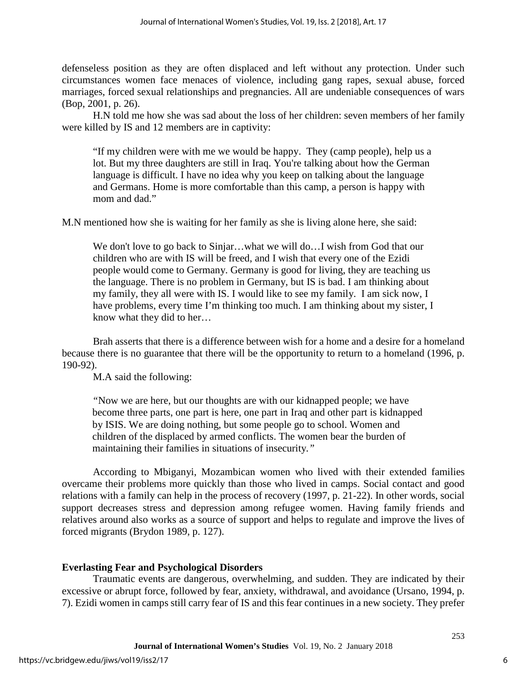defenseless position as they are often displaced and left without any protection. Under such circumstances women face menaces of violence, including gang rapes, sexual abuse, forced marriages, forced sexual relationships and pregnancies. All are undeniable consequences of wars (Bop, 2001, p. 26).

H.N told me how she was sad about the loss of her children: seven members of her family were killed by IS and 12 members are in captivity:

"If my children were with me we would be happy. They (camp people), help us a lot. But my three daughters are still in Iraq. You're talking about how the German language is difficult. I have no idea why you keep on talking about the language and Germans. Home is more comfortable than this camp, a person is happy with mom and dad."

M.N mentioned how she is waiting for her family as she is living alone here, she said:

We don't love to go back to Sinjar...what we will do... I wish from God that our children who are with IS will be freed, and I wish that every one of the Ezidi people would come to Germany. Germany is good for living, they are teaching us the language. There is no problem in Germany, but IS is bad. I am thinking about my family, they all were with IS. I would like to see my family. I am sick now, I have problems, every time I'm thinking too much. I am thinking about my sister, I know what they did to her…

Brah asserts that there is a difference between wish for a home and a desire for a homeland because there is no guarantee that there will be the opportunity to return to a homeland (1996, p. 190-92).

M.A said the following:

*"*Now we are here, but our thoughts are with our kidnapped people; we have become three parts, one part is here, one part in Iraq and other part is kidnapped by ISIS. We are doing nothing, but some people go to school. Women and children of the displaced by armed conflicts. The women bear the burden of maintaining their families in situations of insecurity*."* 

According to Mbiganyi, Mozambican women who lived with their extended families overcame their problems more quickly than those who lived in camps. Social contact and good relations with a family can help in the process of recovery (1997, p. 21-22). In other words, social support decreases stress and depression among refugee women. Having family friends and relatives around also works as a source of support and helps to regulate and improve the lives of forced migrants (Brydon 1989, p. 127).

## **Everlasting Fear and Psychological Disorders**

Traumatic events are dangerous, overwhelming, and sudden. They are indicated by their excessive or abrupt force, followed by fear, anxiety, withdrawal, and avoidance (Ursano, 1994, p. 7). Ezidi women in camps still carry fear of IS and this fear continues in a new society. They prefer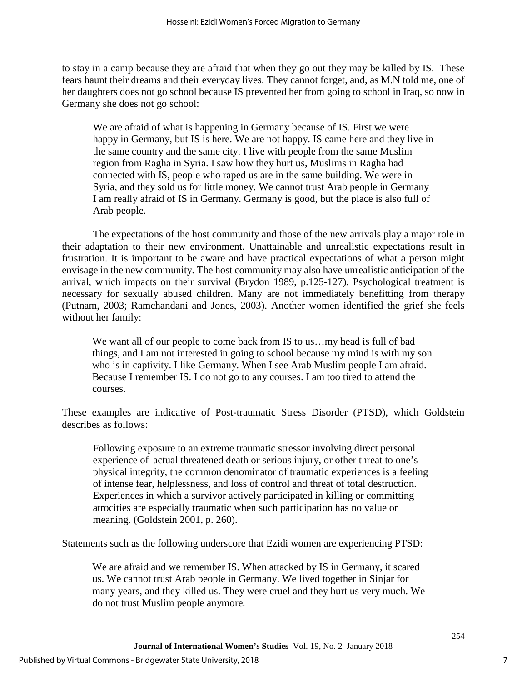to stay in a camp because they are afraid that when they go out they may be killed by IS. These fears haunt their dreams and their everyday lives. They cannot forget, and, as M.N told me, one of her daughters does not go school because IS prevented her from going to school in Iraq, so now in Germany she does not go school:

We are afraid of what is happening in Germany because of IS. First we were happy in Germany, but IS is here. We are not happy. IS came here and they live in the same country and the same city. I live with people from the same Muslim region from Ragha in Syria. I saw how they hurt us, Muslims in Ragha had connected with IS, people who raped us are in the same building. We were in Syria, and they sold us for little money. We cannot trust Arab people in Germany I am really afraid of IS in Germany. Germany is good, but the place is also full of Arab people*.*

The expectations of the host community and those of the new arrivals play a major role in their adaptation to their new environment. Unattainable and unrealistic expectations result in frustration. It is important to be aware and have practical expectations of what a person might envisage in the new community. The host community may also have unrealistic anticipation of the arrival, which impacts on their survival (Brydon 1989, p.125-127). Psychological treatment is necessary for sexually abused children. Many are not immediately benefitting from therapy (Putnam, 2003; Ramchandani and Jones, 2003). Another women identified the grief she feels without her family:

We want all of our people to come back from IS to us...my head is full of bad things, and I am not interested in going to school because my mind is with my son who is in captivity. I like Germany. When I see Arab Muslim people I am afraid. Because I remember IS. I do not go to any courses. I am too tired to attend the courses.

These examples are indicative of Post-traumatic Stress Disorder (PTSD), which Goldstein describes as follows:

Following exposure to an extreme traumatic stressor involving direct personal experience of actual threatened death or serious injury, or other threat to one's physical integrity, the common denominator of traumatic experiences is a feeling of intense fear, helplessness, and loss of control and threat of total destruction. Experiences in which a survivor actively participated in killing or committing atrocities are especially traumatic when such participation has no value or meaning. (Goldstein 2001, p. 260).

Statements such as the following underscore that Ezidi women are experiencing PTSD:

We are afraid and we remember IS. When attacked by IS in Germany, it scared us. We cannot trust Arab people in Germany. We lived together in Sinjar for many years, and they killed us. They were cruel and they hurt us very much. We do not trust Muslim people anymore*.*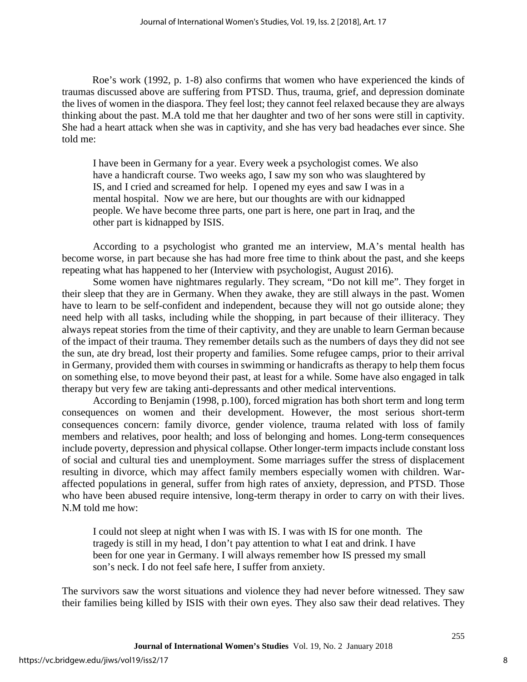Roe's work (1992, p. 1-8) also confirms that women who have experienced the kinds of traumas discussed above are suffering from PTSD. Thus, trauma, grief, and depression dominate the lives of women in the diaspora. They feel lost; they cannot feel relaxed because they are always thinking about the past. M.A told me that her daughter and two of her sons were still in captivity. She had a heart attack when she was in captivity, and she has very bad headaches ever since. She told me:

I have been in Germany for a year. Every week a psychologist comes. We also have a handicraft course. Two weeks ago, I saw my son who was slaughtered by IS, and I cried and screamed for help. I opened my eyes and saw I was in a mental hospital. Now we are here, but our thoughts are with our kidnapped people. We have become three parts, one part is here, one part in Iraq, and the other part is kidnapped by ISIS.

According to a psychologist who granted me an interview, M.A's mental health has become worse, in part because she has had more free time to think about the past, and she keeps repeating what has happened to her (Interview with psychologist, August 2016).

Some women have nightmares regularly. They scream, "Do not kill me". They forget in their sleep that they are in Germany. When they awake, they are still always in the past. Women have to learn to be self-confident and independent, because they will not go outside alone; they need help with all tasks, including while the shopping, in part because of their illiteracy. They always repeat stories from the time of their captivity, and they are unable to learn German because of the impact of their trauma. They remember details such as the numbers of days they did not see the sun, ate dry bread, lost their property and families. Some refugee camps, prior to their arrival in Germany, provided them with courses in swimming or handicrafts as therapy to help them focus on something else, to move beyond their past, at least for a while. Some have also engaged in talk therapy but very few are taking anti-depressants and other medical interventions.

According to Benjamin (1998, p.100), forced migration has both short term and long term consequences on women and their development. However, the most serious short-term consequences concern: family divorce, gender violence, trauma related with loss of family members and relatives, poor health; and loss of belonging and homes. Long-term consequences include poverty, depression and physical collapse. Other longer-term impacts include constant loss of social and cultural ties and unemployment. Some marriages suffer the stress of displacement resulting in divorce, which may affect family members especially women with children. Waraffected populations in general, suffer from high rates of anxiety, depression, and PTSD. Those who have been abused require intensive, long-term therapy in order to carry on with their lives. N.M told me how:

I could not sleep at night when I was with IS. I was with IS for one month. The tragedy is still in my head, I don't pay attention to what I eat and drink. I have been for one year in Germany. I will always remember how IS pressed my small son's neck. I do not feel safe here, I suffer from anxiety.

The survivors saw the worst situations and violence they had never before witnessed. They saw their families being killed by ISIS with their own eyes. They also saw their dead relatives. They

**Journal of International Women's Studies** Vol. 19, No. 2 January 2018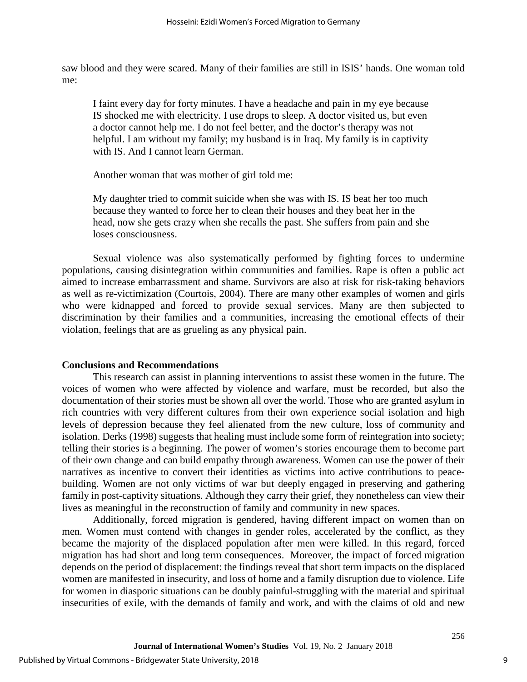saw blood and they were scared. Many of their families are still in ISIS' hands. One woman told me:

I faint every day for forty minutes. I have a headache and pain in my eye because IS shocked me with electricity. I use drops to sleep. A doctor visited us, but even a doctor cannot help me. I do not feel better, and the doctor's therapy was not helpful. I am without my family; my husband is in Iraq. My family is in captivity with IS. And I cannot learn German.

Another woman that was mother of girl told me:

My daughter tried to commit suicide when she was with IS. IS beat her too much because they wanted to force her to clean their houses and they beat her in the head, now she gets crazy when she recalls the past. She suffers from pain and she loses consciousness.

Sexual violence was also systematically performed by fighting forces to undermine populations, causing disintegration within communities and families. Rape is often a public act aimed to increase embarrassment and shame. Survivors are also at risk for risk-taking behaviors as well as re-victimization (Courtois, 2004). There are many other examples of women and girls who were kidnapped and forced to provide sexual services. Many are then subjected to discrimination by their families and a communities, increasing the emotional effects of their violation, feelings that are as grueling as any physical pain.

#### **Conclusions and Recommendations**

This research can assist in planning interventions to assist these women in the future. The voices of women who were affected by violence and warfare, must be recorded, but also the documentation of their stories must be shown all over the world. Those who are granted asylum in rich countries with very different cultures from their own experience social isolation and high levels of depression because they feel alienated from the new culture, loss of community and isolation. Derks (1998) suggests that healing must include some form of reintegration into society; telling their stories is a beginning. The power of women's stories encourage them to become part of their own change and can build empathy through awareness. Women can use the power of their narratives as incentive to convert their identities as victims into active contributions to peacebuilding. Women are not only victims of war but deeply engaged in preserving and gathering family in post-captivity situations. Although they carry their grief, they nonetheless can view their lives as meaningful in the reconstruction of family and community in new spaces.

Additionally, forced migration is gendered, having different impact on women than on men. Women must contend with changes in gender roles, accelerated by the conflict, as they became the majority of the displaced population after men were killed. In this regard, forced migration has had short and long term consequences. Moreover, the impact of forced migration depends on the period of displacement: the findings reveal that short term impacts on the displaced women are manifested in insecurity, and loss of home and a family disruption due to violence. Life for women in diasporic situations can be doubly painful-struggling with the material and spiritual insecurities of exile, with the demands of family and work, and with the claims of old and new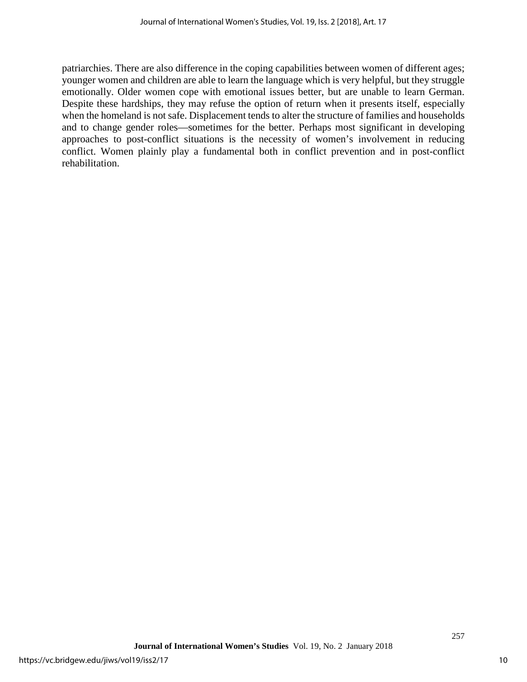patriarchies. There are also difference in the coping capabilities between women of different ages; younger women and children are able to learn the language which is very helpful, but they struggle emotionally. Older women cope with emotional issues better, but are unable to learn German. Despite these hardships, they may refuse the option of return when it presents itself, especially when the homeland is not safe. Displacement tends to alter the structure of families and households and to change gender roles—sometimes for the better. Perhaps most significant in developing approaches to post-conflict situations is the necessity of women's involvement in reducing conflict. Women plainly play a fundamental both in conflict prevention and in post-conflict rehabilitation.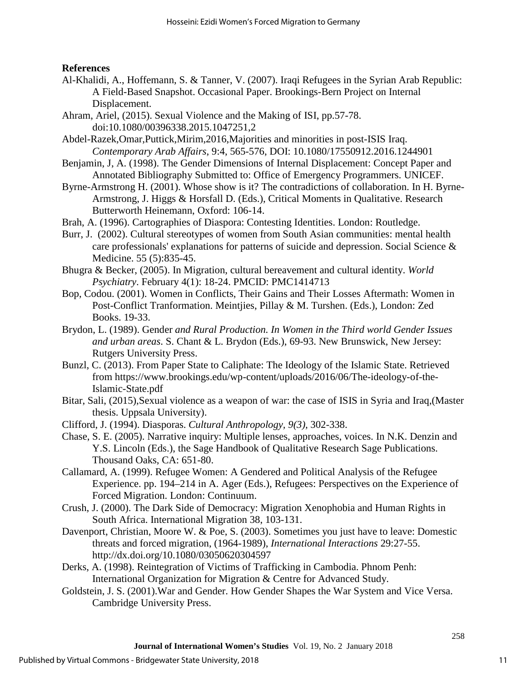## **References**

- Al-Khalidi, A., Hoffemann, S. & Tanner, V. (2007). Iraqi Refugees in the Syrian Arab Republic: A Field-Based Snapshot. Occasional Paper. Brookings-Bern Project on Internal Displacement.
- Ahram, Ariel, (2015). Sexual Violence and the Making of ISI, pp.57-78. doi:10.1080/00396338.2015.1047251,2
- Abdel-Razek,Omar,Puttick,Mirim,2016,Majorities and minorities in post-ISIS Iraq. *Contemporary Arab Affairs*, 9:4, 565-576, DOI: 10.1080/17550912.2016.1244901
- Benjamin, J, A. (1998). The Gender Dimensions of Internal Displacement: Concept Paper and Annotated Bibliography Submitted to: Office of Emergency Programmers. UNICEF.
- Byrne-Armstrong H. (2001). Whose show is it? The contradictions of collaboration. In H. Byrne-Armstrong, J. Higgs & Horsfall D. (Eds.), Critical Moments in Qualitative. Research Butterworth Heinemann, Oxford: 106-14.
- Brah, A. (1996). Cartographies of Diaspora: Contesting Identities. London: Routledge.
- Burr, J. (2002). Cultural stereotypes of women from South Asian communities: mental health care professionals' explanations for patterns of suicide and depression. Social Science & Medicine. 55 (5):835-45.
- Bhugra & Becker, (2005). In Migration, cultural bereavement and cultural identity. *World Psychiatry*. February 4(1): 18-24. PMCID: PMC1414713
- Bop, Codou. (2001). Women in Conflicts, Their Gains and Their Losses Aftermath: Women in Post-Conflict Tranformation. Meintjies, Pillay & M. Turshen. (Eds.), London: Zed Books. 19-33.
- Brydon, L. (1989). Gender *and Rural Production. In Women in the Third world Gender Issues and urban areas*. S. Chant & L. Brydon (Eds.), 69-93. New Brunswick, New Jersey: Rutgers University Press.
- Bunzl, C. (2013). From Paper State to Caliphate: The Ideology of the Islamic State. Retrieved from https://www.brookings.edu/wp-content/uploads/2016/06/The-ideology-of-the-Islamic-State.pdf
- Bitar, Sali, (2015),Sexual violence as a weapon of war: the case of ISIS in Syria and Iraq,(Master thesis. Uppsala University).
- Clifford, J. (1994). Diasporas. *Cultural Anthropology, 9(3),* 302-338.
- Chase, S. E. (2005). Narrative inquiry: Multiple lenses, approaches, voices. In N.K. Denzin and Y.S. Lincoln (Eds.), the Sage Handbook of Qualitative Research Sage Publications. Thousand Oaks, CA: 651-80.
- Callamard, A. (1999). Refugee Women: A Gendered and Political Analysis of the Refugee Experience. pp. 194–214 in A. Ager (Eds.), Refugees: Perspectives on the Experience of Forced Migration. London: Continuum.
- Crush, J. (2000). The Dark Side of Democracy: Migration Xenophobia and Human Rights in South Africa. International Migration 38, 103-131.
- Davenport, Christian, Moore W. & Poe, S. (2003). Sometimes you just have to leave: Domestic threats and forced migration, (1964-1989), *International Interactions* 29:27-55. http://dx.doi.org/10.1080/03050620304597
- Derks, A. (1998). Reintegration of Victims of Trafficking in Cambodia. Phnom Penh: International Organization for Migration & Centre for Advanced Study.
- Goldstein, J. S. (2001).War and Gender. How Gender Shapes the War System and Vice Versa. Cambridge University Press.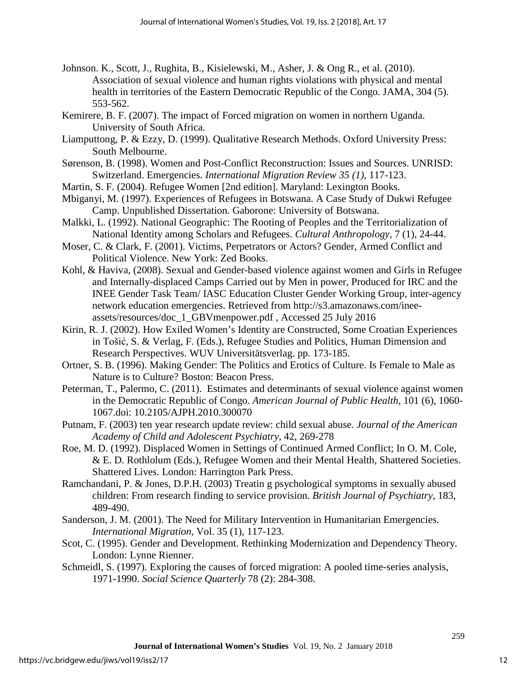- Johnson. K., Scott, J., Rughita, B., Kisielewski, M., Asher, J. & Ong R., et al. (2010). Association of sexual violence and human rights violations with physical and mental health in territories of the Eastern Democratic Republic of the Congo. JAMA, 304 (5). 553-562.
- Kemirere, B. F. (2007). The impact of Forced migration on women in northern Uganda. University of South Africa.
- Liamputtong, P. & Ezzy, D. (1999). Qualitative Research Methods. Oxford University Press: South Melbourne.
- Sørenson, B. (1998). Women and Post-Conflict Reconstruction: Issues and Sources. UNRISD: Switzerland. Emergencies. *International Migration Review 35 (1)*, 117-123.
- Martin, S. F. (2004). Refugee Women [2nd edition]. Maryland: Lexington Books.
- Mbiganyi, M. (1997). Experiences of Refugees in Botswana. A Case Study of Dukwi Refugee Camp. Unpublished Dissertation. Gaborone: University of Botswana.
- Malkki, L. (1992). National Geographic: The Rooting of Peoples and the Territorialization of National Identity among Scholars and Refugees. *Cultural Anthropology*, 7 (1), 24-44.
- Moser, C. & Clark, F. (2001). Victims, Perpetrators or Actors? Gender, Armed Conflict and Political Violence. New York: Zed Books.
- Kohl, & Haviva, (2008). Sexual and Gender-based violence against women and Girls in Refugee and Internally-displaced Camps Carried out by Men in power, Produced for IRC and the INEE Gender Task Team/ IASC Education Cluster Gender Working Group, inter-agency network education emergencies. Retrieved from http://s3.amazonaws.com/ineeassets/resources/doc\_1\_GBVmenpower.pdf , Accessed 25 July 2016
- Kirin, R. J. (2002). How Exiled Women's Identity are Constructed, Some Croatian Experiences in Tošić, S. & Verlag, F. (Eds.), Refugee Studies and Politics, Human Dimension and Research Perspectives. WUV Universitätsverlag. pp. 173-185.
- Ortner, S. B. (1996). Making Gender: The Politics and Erotics of Culture. Is Female to Male as Nature is to Culture? Boston: Beacon Press.
- Peterman, T., Palermo, C. (2011). Estimates and determinants of sexual violence against women in the Democratic Republic of Congo. *American Journal of Public Health*, 101 (6), 1060- 1067.doi: 10.2105/AJPH.2010.300070
- Putnam, F. (2003) ten year research update review: child sexual abuse. *Journal of the American Academy of Child and Adolescent Psychiatry*, 42, 269-278
- Roe, M. D. (1992). Displaced Women in Settings of Continued Armed Conflict; In O. M. Cole, & E. D. Rothlolum (Eds.), Refugee Women and their Mental Health, Shattered Societies. Shattered Lives. London: Harrington Park Press.
- Ramchandani, P. & Jones, D.P.H. (2003) Treatin g psychological symptoms in sexually abused children: From research finding to service provision. *British Journal of Psychiatry*, 183, 489-490.
- Sanderson, J. M. (2001). The Need for Military Intervention in Humanitarian Emergencies. *International Migration*, Vol. 35 (1), 117-123.
- Scot, C. (1995). Gender and Development. Rethinking Modernization and Dependency Theory. London: Lynne Rienner.
- Schmeidl, S. (1997). Exploring the causes of forced migration: A pooled time-series analysis, 1971-1990. *Social Science Quarterly* 78 (2): 284-308.